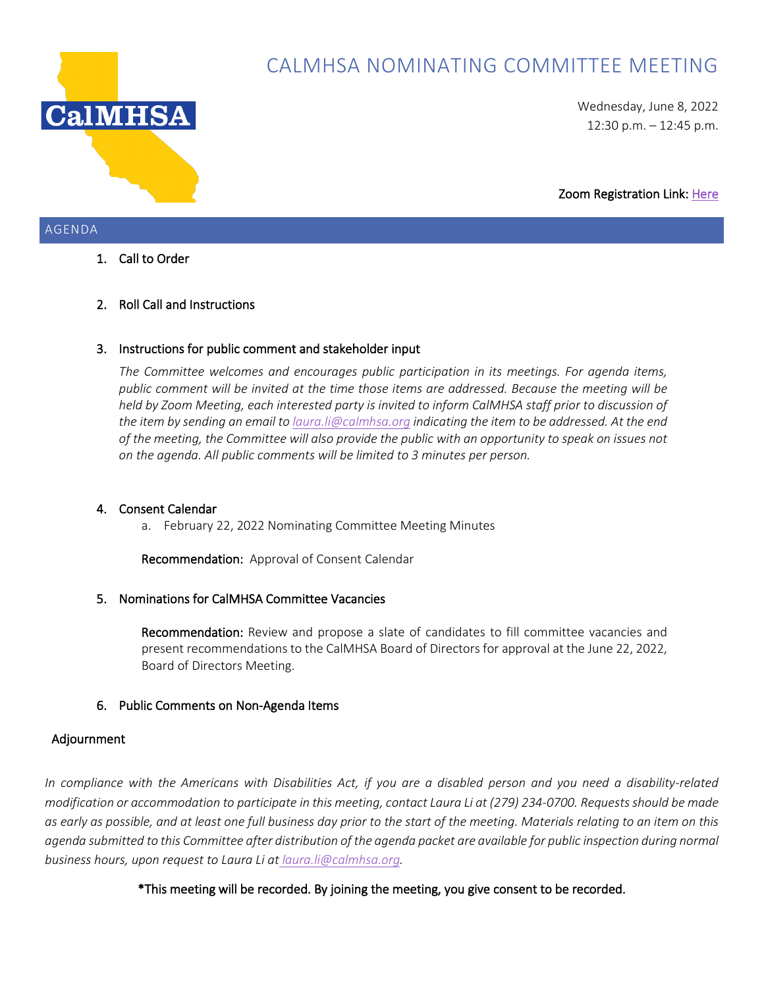

# CALMHSA NOMINATING COMMITTEE MEETING

Wednesday, June 8, 2022 12:30 p.m. – 12:45 p.m.

Zoom Registration Link[: Here](https://us02web.zoom.us/meeting/register/tZ0sd-6urDsvEt2r6jigQ2-4ZMuTstxAq455) 

# AGENDA

# 1. Call to Order

# 2. Roll Call and Instructions

## 3. Instructions for public comment and stakeholder input

*The Committee welcomes and encourages public participation in its meetings. For agenda items, public comment will be invited at the time those items are addressed. Because the meeting will be held by Zoom Meeting, each interested party is invited to inform CalMHSA staff prior to discussion of the item by sending an email to [laura.li@calmhsa.org](mailto:laura.li@calmhsa.org) indicating the item to be addressed. At the end of the meeting, the Committee will also provide the public with an opportunity to speak on issues not on the agenda. All public comments will be limited to 3 minutes per person.*

## 4. Consent Calendar

a. February 22, 2022 Nominating Committee Meeting Minutes

Recommendation: Approval of Consent Calendar

## 5. Nominations for CalMHSA Committee Vacancies

Recommendation: Review and propose a slate of candidates to fill committee vacancies and present recommendations to the CalMHSA Board of Directors for approval at the June 22, 2022, Board of Directors Meeting.

## 6. Public Comments on Non-Agenda Items

## Adjournment

*In compliance with the Americans with Disabilities Act, if you are a disabled person and you need a disability-related modification or accommodation to participate in this meeting, contact Laura Li at (279) 234-0700. Requests should be made as early as possible, and at least one full business day prior to the start of the meeting. Materials relating to an item on this agenda submitted to this Committee after distribution of the agenda packet are available for public inspection during normal business hours, upon request to Laura Li at laura.li@calmhsa.org.*

\*This meeting will be recorded. By joining the meeting, you give consent to be recorded.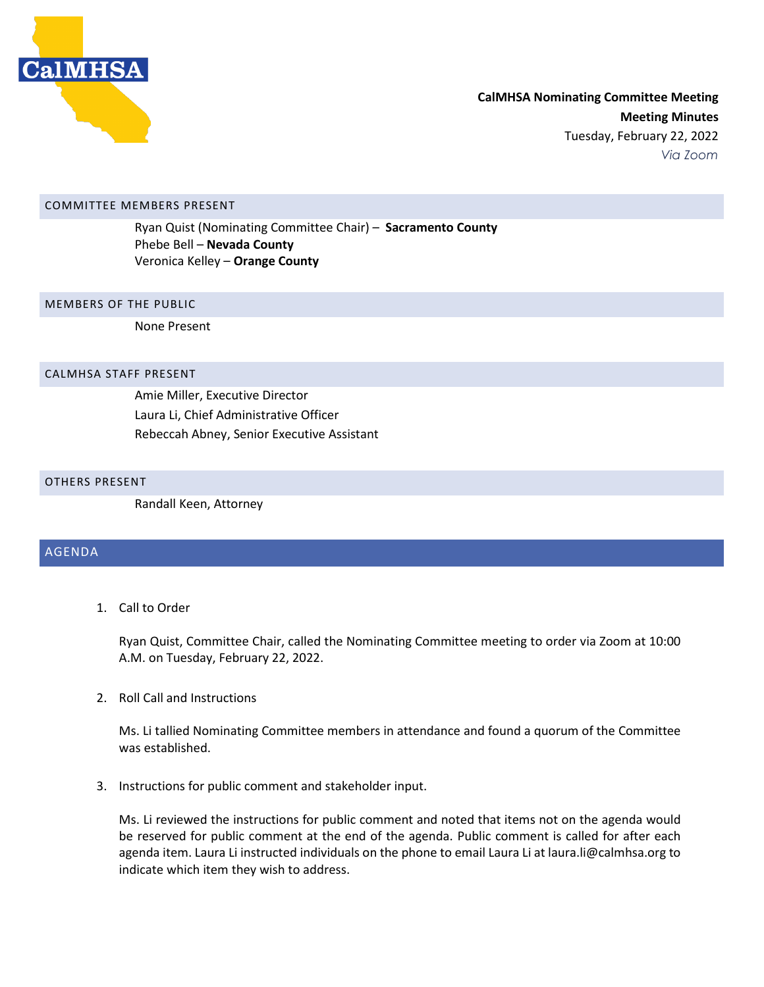

#### COMMITTEE MEMBERS PRESENT

Ryan Quist (Nominating Committee Chair) – **Sacramento County** Phebe Bell – **Nevada County** Veronica Kelley – **Orange County**

#### MEMBERS OF THE PUBLIC

None Present

#### CALMHSA STAFF PRESENT

Amie Miller, Executive Director Laura Li, Chief Administrative Officer Rebeccah Abney, Senior Executive Assistant

#### OTHERS PRESENT

Randall Keen, Attorney

### AGENDA

1. Call to Order

Ryan Quist, Committee Chair, called the Nominating Committee meeting to order via Zoom at 10:00 A.M. on Tuesday, February 22, 2022.

2. Roll Call and Instructions

Ms. Li tallied Nominating Committee members in attendance and found a quorum of the Committee was established.

3. Instructions for public comment and stakeholder input.

Ms. Li reviewed the instructions for public comment and noted that items not on the agenda would be reserved for public comment at the end of the agenda. Public comment is called for after each agenda item. Laura Li instructed individuals on the phone to email Laura Li at laura. li@calmhsa.org to indicate which item they wish to address.